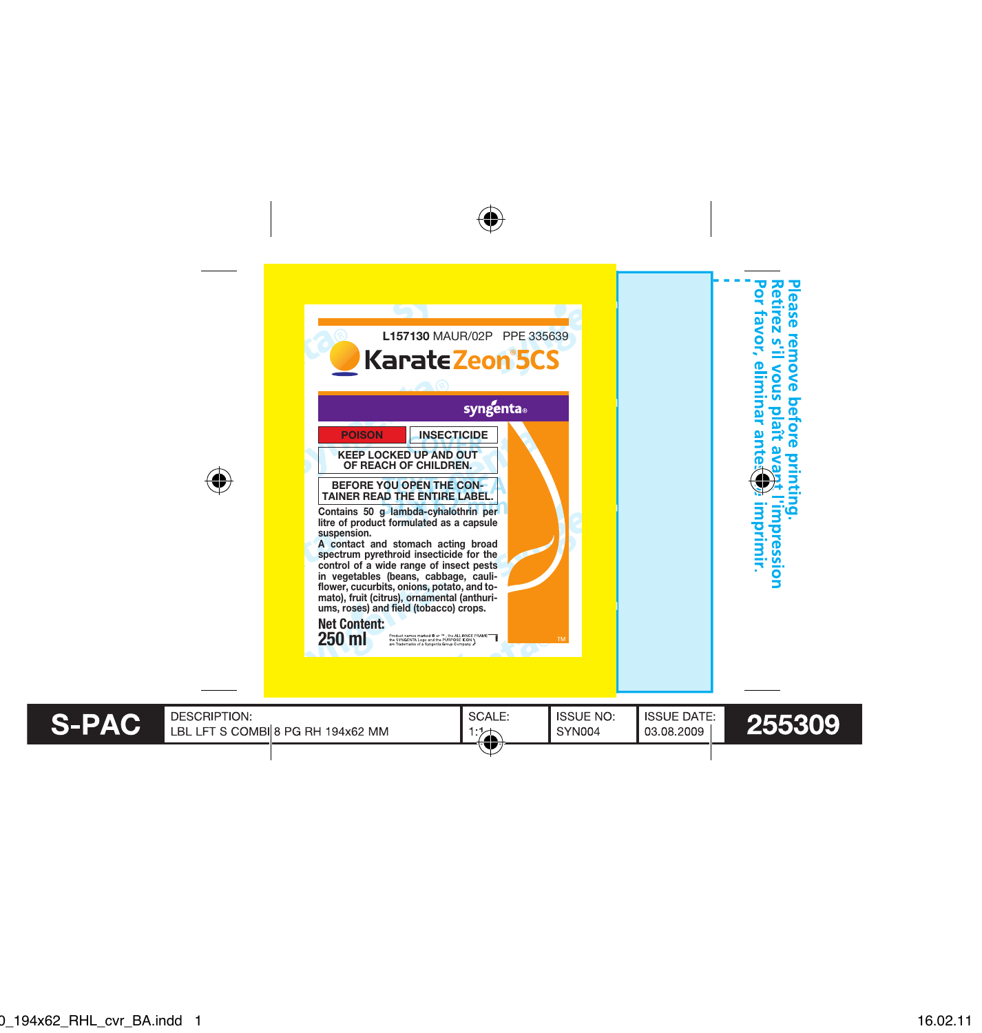





**S-PAC** 

**DESCRIPTION:** LBL LFT S COMBI 8 PG RH 194x62 MM 本

**SYN004** 03.08.2009

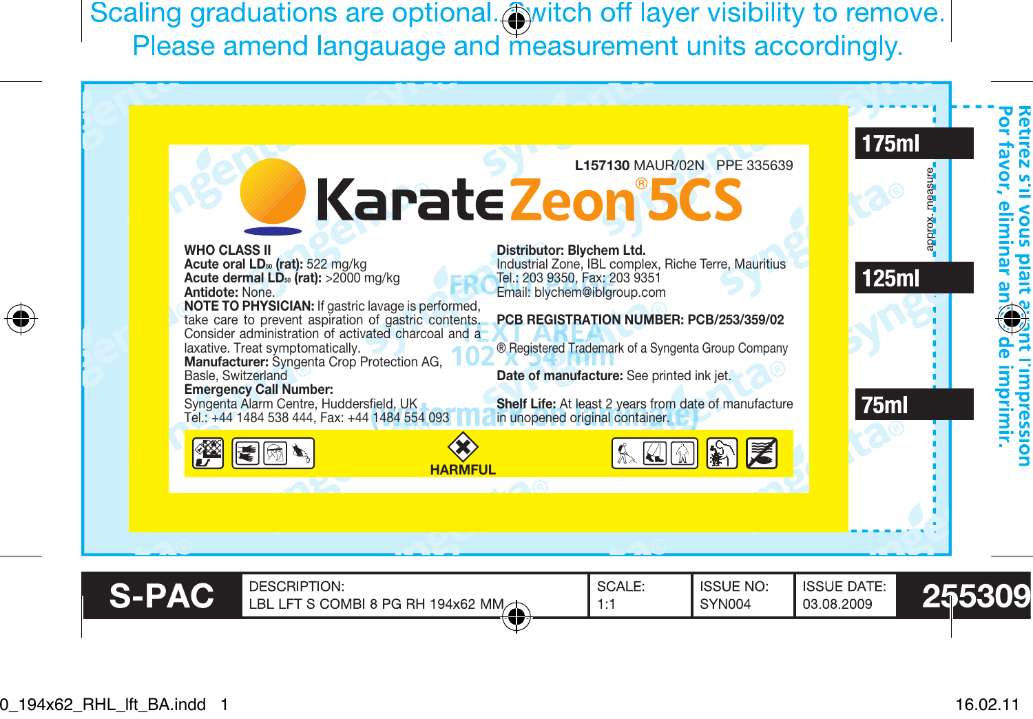Scaling graduations are optional. simitch off layer visibility to remove. Please amend langauage and measurement units accordingly.



⊕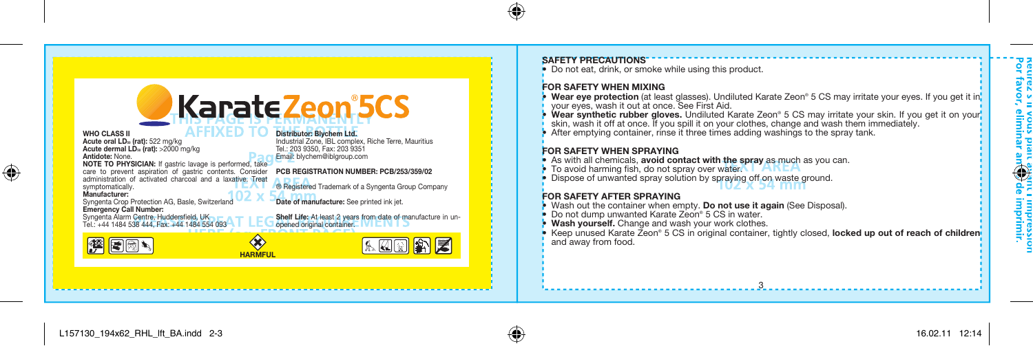

#### SAFETY PRECAUTIONS

• Do not eat, drink, or smoke while using this product.

## FOR SAFETY WHEN MIXING

- Wear eye protection (at least glasses). Undiluted Karate Zeon® 5 CS may irritate your eyes. If you get it in
- Wear synthetic rubber gloves. Undiluted Karate Zeon® 5 CS may irritate your skin. If you get it on your skin, wash it off at once. If you spill it on your clothes, change and wash them immediately.
- After emptying container, rinse it three times adding washings to the spray tank.

- FOR SAFETY WHEN SPRAYING<br>• As with all chemicals, avoid contact with the spray as much as you can.
- 
- To avoid harming fish, do not spray over water. TAKEA<br>• Dispose of unwanted spray solution by spraying off on waste ground.

# FOR SAFETY AFTER SPRAYING

- Wash out the container when empty. **Do not use it again** (See Disposal).<br>• Do not dump unwanted Karate Zeon® 5 CS in water.
- 
- Wash yourself. Change and wash your work clothes.
- Keep unused Karate Zeon® 5 CS in original container, tightly closed, locked up out of reach of children-

3

⊕

 $\bigoplus$ 

mprimir.<br>mprimir.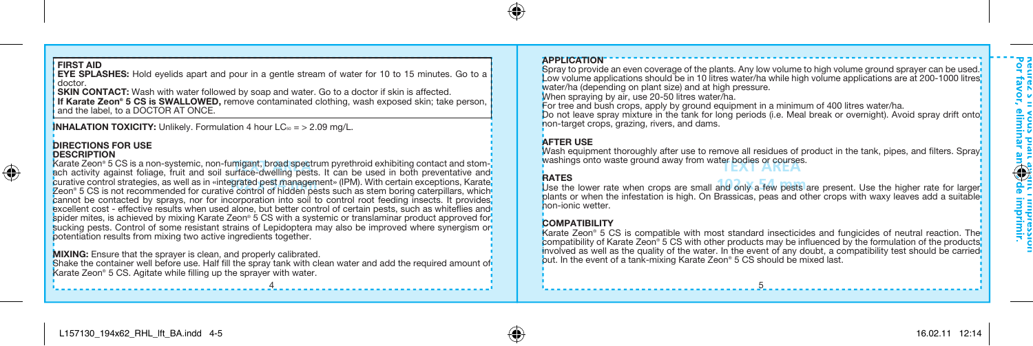# FIRST AID

⊕

EVE SPLASHES: Hold eyelids apart and pour in a gentle stream of water for 10 to 15 minutes. Go to a<br>| doctor.<br>| SKIN CONTACT: Wash with water followed by soap and water. Go to a doctor if skin is affected.

If Karate Zeon® 5 CS is SWALLOWED, remove contaminated clothing, wash exposed skin; take person, and the label, to a DOCTOR AT ONCE.

**INHALATION TOXICITY:** Unlikely. Formulation 4 hour  $LC_{50} = \frac{1}{2}$  2.09 mg/L.

#### **DIRECTIONS FOR USE DESCRIPTION**

Karate Zeon® 5 CS is a non-systemic, non-fumigant, broad spectrum pyrethroid exhibiting contact and stomach activity against foliage, fruit and soil surface-dwelling pests. It can be used in both preventative and curative control strategies, as well as in «integrated pest management» (IPM). With certain exceptions, Karate Zeon® 5 CS is not recommended for curative control of hidden pests such as stem boring caterpillars, which cannot be contacted by sprays, nor for incorporation into soil to control root feeding insects. It provides excellent cost - effective results when used alone, but better control of certain pests, such as whiteflies and spider mites, is achieved by mixing Karate Zeon® 5 CS with a systemic or translaminar product approved for. sucking pests. Control of some resistant strains of Lepidoptera may also be improved where synergism or potentiation results from mixing two active ingredients together.

MIXING: Ensure that the sprayer is clean, and properly calibrated.

Shake the container well before use. Half fill the spray tank with clean water and add the required amount of Karate Zeon® 5 CS. Agitate while filling up the sprayer with water.

#### APPLICATION

Spray to provide an even coverage of the plants. Any low volume to high volume ground sprayer can be used. Low volume applications should be in 10 litres water/ha while high volume applications are at 200-1000 litres water/ha (depending on plant size) and at high pressure.

When spraying by air, use 20-50 litres water/ha.

For tree and bush crops, apply by ground equipment in a minimum of 400 litres water/ha. Do not leave spray mixture in the tank for long periods (i.e. Meal break or overnight). Avoid spray drift onto non-target crops, grazing, rivers, and dams.

# AFTER USE

Wash equipment thoroughly after use to remove all residues of product in the tank, pipes, and filters. Spray washings onto waste ground away from water bodies or courses.

# **RATES**

Use the lower rate when crops are small and only a few pests are present. Use the higher rate for larger, plants or when the infestation is high. On Brassicas, peas and other crops with waxy leaves add a suitable non-ionic wetter.

# **COMPATIBILITY**

Karate Zeon® 5 CS is compatible with most standard insecticides and fungicides of neutral reaction. The compatibility of Karate Zeon® 5 CS with other products may be influenced by the formulation of the products, involved as well as the quality of the water. In the event of any doubt, a compatibility test should be carried out. In the event of a tank-mixing Karate Zeon® 5 CS should be mixed last.

4 5

∘° ∘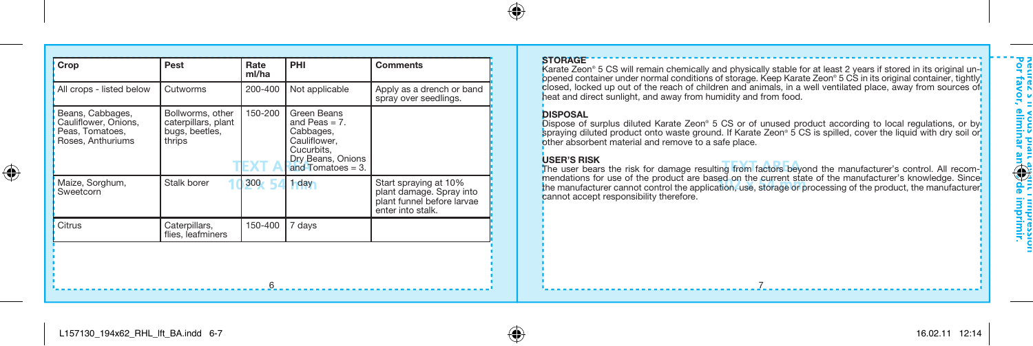| Crop                                                                             | Pest                                                                | Rate<br>ml/ha | PHI                                                                                                                     | <b>Comments</b>                                                                                      |  | <b>STORAGE</b><br>Karate Zeon <sup>®</sup> 5 CS will remain chemically and physical<br>opened container under normal conditions of storage. I                                                                                                                                                                                                                                                                                      |
|----------------------------------------------------------------------------------|---------------------------------------------------------------------|---------------|-------------------------------------------------------------------------------------------------------------------------|------------------------------------------------------------------------------------------------------|--|------------------------------------------------------------------------------------------------------------------------------------------------------------------------------------------------------------------------------------------------------------------------------------------------------------------------------------------------------------------------------------------------------------------------------------|
| All crops - listed below                                                         | Cutworms                                                            | 200-400       | Not applicable                                                                                                          | Apply as a drench or band<br>spray over seedlings.                                                   |  | closed, locked up out of the reach of children and anir<br>heat and direct sunlight, and away from humidity and f                                                                                                                                                                                                                                                                                                                  |
| Beans, Cabbages,<br>Cauliflower, Onions,<br>Peas. Tomatoes.<br>Roses, Anthuriums | Bollworms, other<br>caterpillars, plant<br>bugs, beetles,<br>thrips | 150-200       | Green Beans<br>and Peas $= 7$ .<br>Cabbages,<br>Cauliflower.<br>Cucurbits.<br>Dry Beans, Onions<br>and Tomatoes $= 3$ . |                                                                                                      |  | <b>DISPOSAL</b><br>Dispose of surplus diluted Karate Zeon® 5 CS or of u<br>spraying diluted product onto waste ground. If Karate<br>other absorbent material and remove to a safe place.<br><b>USER'S RISK</b><br>The user bears the risk for damage resulting from fa<br>mendations for use of the product are based on the<br>the manufacturer cannot control the application, use, s<br>cannot accept responsibility therefore. |
| Maize, Sorghum,<br>Sweetcorn                                                     | Stalk borer                                                         | 300           | <b>hday</b>                                                                                                             | Start spraying at 10%<br>plant damage. Spray into<br>plant funnel before larvae<br>enter into stalk. |  |                                                                                                                                                                                                                                                                                                                                                                                                                                    |
| Citrus                                                                           | Caterpillars.<br>flies, leafminers                                  | 150-400       | 7 days                                                                                                                  |                                                                                                      |  |                                                                                                                                                                                                                                                                                                                                                                                                                                    |
|                                                                                  |                                                                     |               |                                                                                                                         |                                                                                                      |  |                                                                                                                                                                                                                                                                                                                                                                                                                                    |
|                                                                                  |                                                                     | 6             |                                                                                                                         |                                                                                                      |  |                                                                                                                                                                                                                                                                                                                                                                                                                                    |

### STORAGE

′€

Karate Zeon® 5 CS will remain chemically and physically stable for at least 2 years if stored in its original un-i<br>opened container under normal conditions of storage. Keep Karate Zeon® 5 CS in its original container, tig heat and direct sunlight, and away from humidity and from food.

### DISPOSAL

Dispose of surplus diluted Karate Zeon® 5 CS or of unused product according to local regulations, or by spraying diluted product onto waste ground. If Karate Zeon® 5 CS is spilled, cover the liquid with dry soil or other absorbent material and remove to a safe place.

is USER'S RISK<br>The user bears the risk for damage resulting from factors beyond the manufacturer's control. All recommendations for use of the product are based on the current state of the manufacturer's knowledge. Since the manufacturer cannot control the application, use, storage or processing of the product, the manufacturer, cannot accept responsibility therefore.

Reurez > II<br>Por favor,

i impressioi<br>: imprimir.<br>: imprimir.